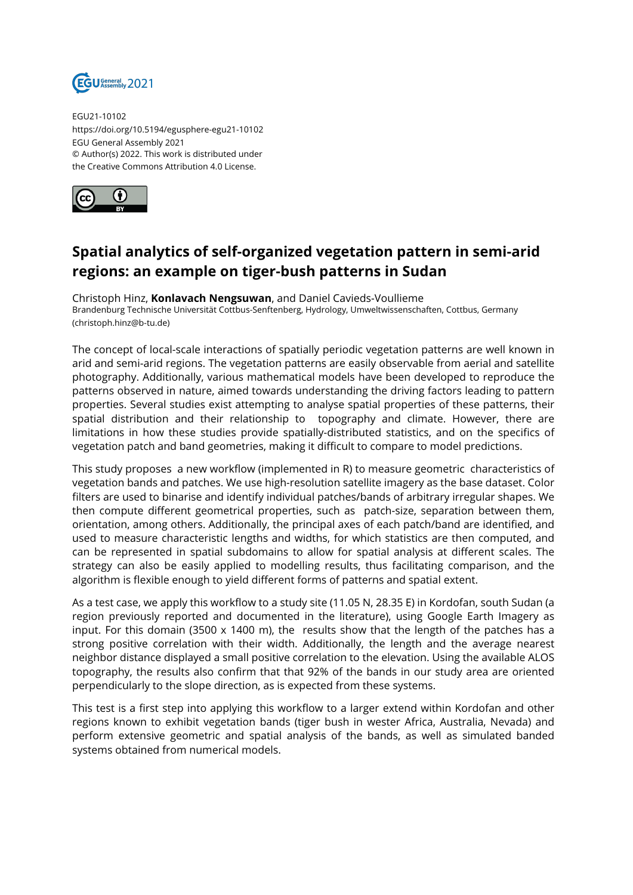

EGU21-10102 https://doi.org/10.5194/egusphere-egu21-10102 EGU General Assembly 2021 © Author(s) 2022. This work is distributed under the Creative Commons Attribution 4.0 License.



## **Spatial analytics of self-organized vegetation pattern in semi-arid regions: an example on tiger-bush patterns in Sudan**

Christoph Hinz, **Konlavach Nengsuwan**, and Daniel Cavieds-Voullieme Brandenburg Technische Universität Cottbus-Senftenberg, Hydrology, Umweltwissenschaften, Cottbus, Germany (christoph.hinz@b-tu.de)

The concept of local-scale interactions of spatially periodic vegetation patterns are well known in arid and semi-arid regions. The vegetation patterns are easily observable from aerial and satellite photography. Additionally, various mathematical models have been developed to reproduce the patterns observed in nature, aimed towards understanding the driving factors leading to pattern properties. Several studies exist attempting to analyse spatial properties of these patterns, their spatial distribution and their relationship to topography and climate. However, there are limitations in how these studies provide spatially-distributed statistics, and on the specifics of vegetation patch and band geometries, making it difficult to compare to model predictions.

This study proposes a new workflow (implemented in R) to measure geometric characteristics of vegetation bands and patches. We use high-resolution satellite imagery as the base dataset. Color filters are used to binarise and identify individual patches/bands of arbitrary irregular shapes. We then compute different geometrical properties, such as patch-size, separation between them, orientation, among others. Additionally, the principal axes of each patch/band are identified, and used to measure characteristic lengths and widths, for which statistics are then computed, and can be represented in spatial subdomains to allow for spatial analysis at different scales. The strategy can also be easily applied to modelling results, thus facilitating comparison, and the algorithm is flexible enough to yield different forms of patterns and spatial extent.

As a test case, we apply this workflow to a study site (11.05 N, 28.35 E) in Kordofan, south Sudan (a region previously reported and documented in the literature), using Google Earth Imagery as input. For this domain (3500 x 1400 m), the results show that the length of the patches has a strong positive correlation with their width. Additionally, the length and the average nearest neighbor distance displayed a small positive correlation to the elevation. Using the available ALOS topography, the results also confirm that that 92% of the bands in our study area are oriented perpendicularly to the slope direction, as is expected from these systems.

This test is a first step into applying this workflow to a larger extend within Kordofan and other regions known to exhibit vegetation bands (tiger bush in wester Africa, Australia, Nevada) and perform extensive geometric and spatial analysis of the bands, as well as simulated banded systems obtained from numerical models.